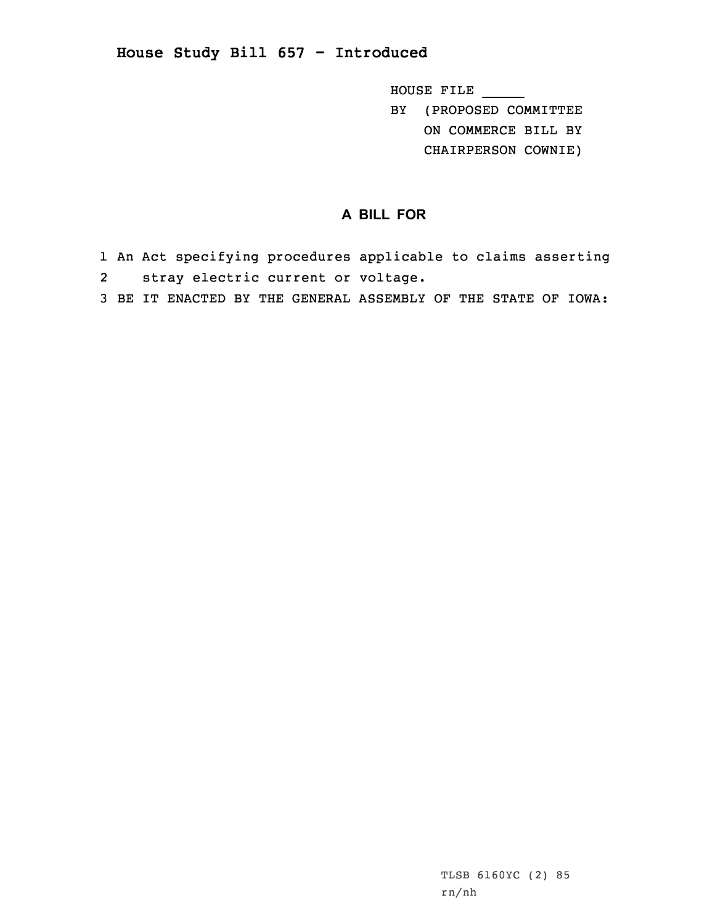## **House Study Bill 657 - Introduced**

HOUSE FILE \_\_\_\_\_

BY (PROPOSED COMMITTEE ON COMMERCE BILL BY

CHAIRPERSON COWNIE)

## **A BILL FOR**

- 1 An Act specifying procedures applicable to claims asserting 2 stray electric current or voltage.
- 3 BE IT ENACTED BY THE GENERAL ASSEMBLY OF THE STATE OF IOWA: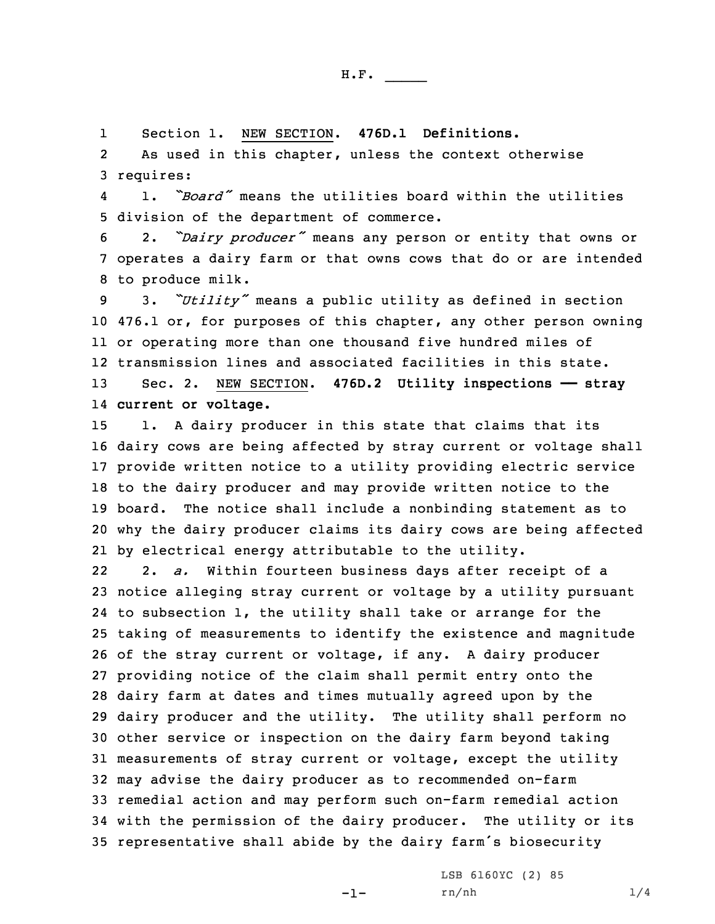H.F. \_\_\_\_\_

1Section 1. NEW SECTION. **476D.1 Definitions.**

2 As used in this chapter, unless the context otherwise 3 requires:

4 1. *"Board"* means the utilities board within the utilities 5 division of the department of commerce.

<sup>6</sup> 2. *"Dairy producer"* means any person or entity that owns or 7 operates <sup>a</sup> dairy farm or that owns cows that do or are intended 8 to produce milk.

 3. *"Utility"* means <sup>a</sup> public utility as defined in section 476.1 or, for purposes of this chapter, any other person owning or operating more than one thousand five hundred miles of transmission lines and associated facilities in this state. Sec. 2. NEW SECTION. **476D.2 Utility inspections —— stray current or voltage.**

 1. <sup>A</sup> dairy producer in this state that claims that its dairy cows are being affected by stray current or voltage shall provide written notice to <sup>a</sup> utility providing electric service to the dairy producer and may provide written notice to the board. The notice shall include <sup>a</sup> nonbinding statement as to why the dairy producer claims its dairy cows are being affected by electrical energy attributable to the utility.

22 2. *a.* Within fourteen business days after receipt of <sup>a</sup> notice alleging stray current or voltage by <sup>a</sup> utility pursuant to subsection 1, the utility shall take or arrange for the taking of measurements to identify the existence and magnitude of the stray current or voltage, if any. <sup>A</sup> dairy producer providing notice of the claim shall permit entry onto the dairy farm at dates and times mutually agreed upon by the dairy producer and the utility. The utility shall perform no other service or inspection on the dairy farm beyond taking measurements of stray current or voltage, except the utility may advise the dairy producer as to recommended on-farm remedial action and may perform such on-farm remedial action with the permission of the dairy producer. The utility or its representative shall abide by the dairy farm's biosecurity

-1-

LSB 6160YC (2) 85 rn/nh 1/4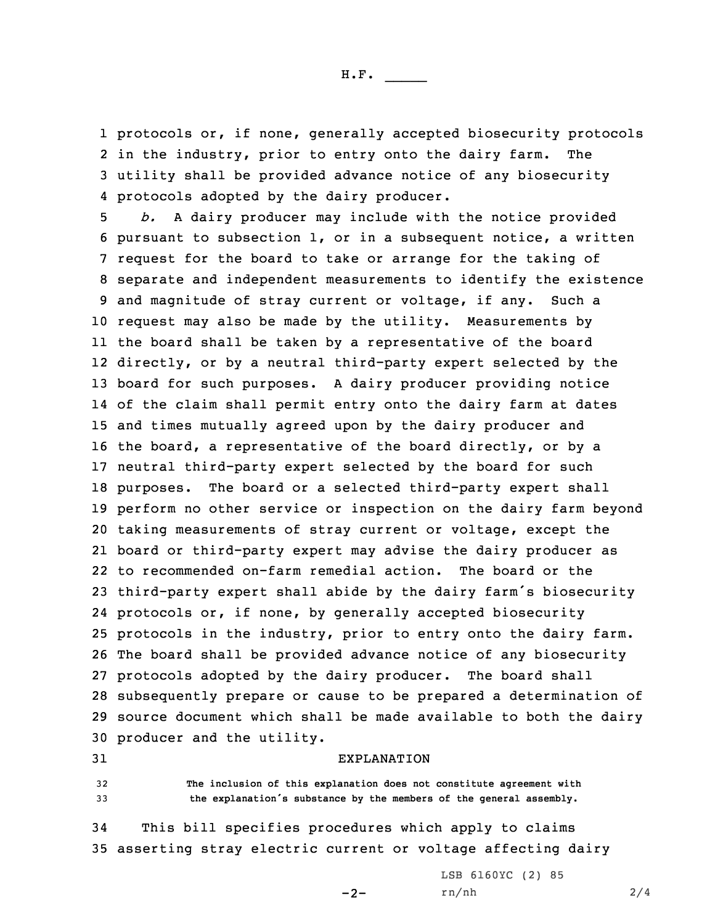H.F. \_\_\_\_\_

 protocols or, if none, generally accepted biosecurity protocols in the industry, prior to entry onto the dairy farm. The utility shall be provided advance notice of any biosecurity protocols adopted by the dairy producer.

 *b.* <sup>A</sup> dairy producer may include with the notice provided pursuant to subsection 1, or in <sup>a</sup> subsequent notice, <sup>a</sup> written request for the board to take or arrange for the taking of separate and independent measurements to identify the existence and magnitude of stray current or voltage, if any. Such <sup>a</sup> request may also be made by the utility. Measurements by the board shall be taken by <sup>a</sup> representative of the board directly, or by <sup>a</sup> neutral third-party expert selected by the board for such purposes. <sup>A</sup> dairy producer providing notice of the claim shall permit entry onto the dairy farm at dates and times mutually agreed upon by the dairy producer and the board, <sup>a</sup> representative of the board directly, or by <sup>a</sup> neutral third-party expert selected by the board for such purposes. The board or <sup>a</sup> selected third-party expert shall perform no other service or inspection on the dairy farm beyond taking measurements of stray current or voltage, except the board or third-party expert may advise the dairy producer as to recommended on-farm remedial action. The board or the third-party expert shall abide by the dairy farm's biosecurity protocols or, if none, by generally accepted biosecurity protocols in the industry, prior to entry onto the dairy farm. The board shall be provided advance notice of any biosecurity protocols adopted by the dairy producer. The board shall subsequently prepare or cause to be prepared <sup>a</sup> determination of source document which shall be made available to both the dairy producer and the utility.

## 31 EXPLANATION

32 **The inclusion of this explanation does not constitute agreement with** <sup>33</sup> **the explanation's substance by the members of the general assembly.**

34 This bill specifies procedures which apply to claims 35 asserting stray electric current or voltage affecting dairy

 $-2-$ 

LSB 6160YC (2) 85 rn/nh 2/4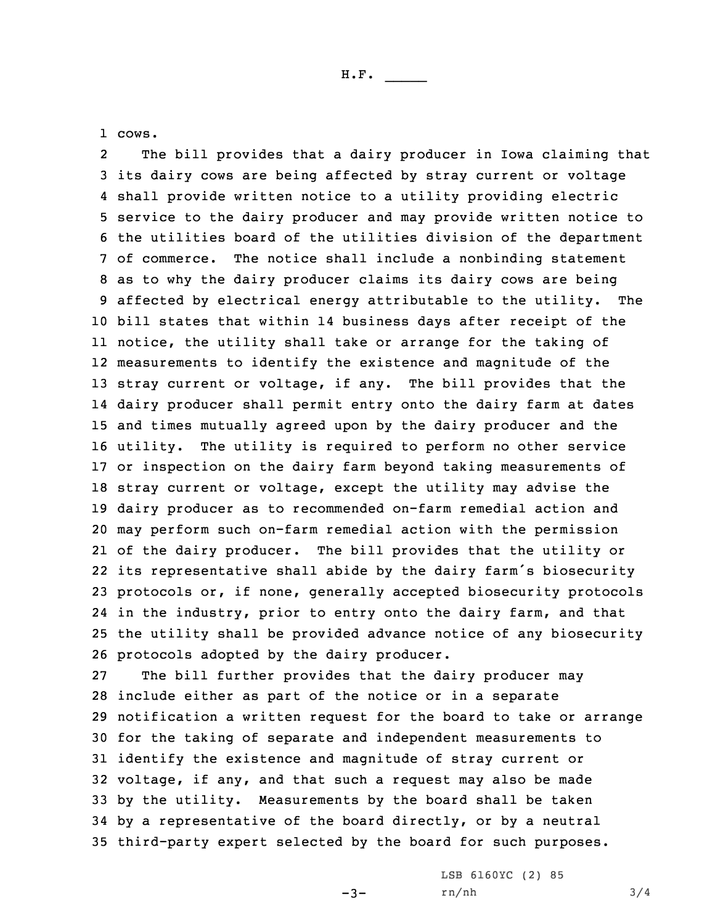1 cows.

2 The bill provides that <sup>a</sup> dairy producer in Iowa claiming that its dairy cows are being affected by stray current or voltage shall provide written notice to <sup>a</sup> utility providing electric service to the dairy producer and may provide written notice to the utilities board of the utilities division of the department of commerce. The notice shall include <sup>a</sup> nonbinding statement as to why the dairy producer claims its dairy cows are being affected by electrical energy attributable to the utility. The bill states that within 14 business days after receipt of the notice, the utility shall take or arrange for the taking of measurements to identify the existence and magnitude of the stray current or voltage, if any. The bill provides that the dairy producer shall permit entry onto the dairy farm at dates and times mutually agreed upon by the dairy producer and the utility. The utility is required to perform no other service or inspection on the dairy farm beyond taking measurements of stray current or voltage, except the utility may advise the dairy producer as to recommended on-farm remedial action and may perform such on-farm remedial action with the permission of the dairy producer. The bill provides that the utility or its representative shall abide by the dairy farm's biosecurity protocols or, if none, generally accepted biosecurity protocols in the industry, prior to entry onto the dairy farm, and that the utility shall be provided advance notice of any biosecurity protocols adopted by the dairy producer.

 The bill further provides that the dairy producer may include either as part of the notice or in <sup>a</sup> separate notification <sup>a</sup> written request for the board to take or arrange for the taking of separate and independent measurements to identify the existence and magnitude of stray current or voltage, if any, and that such <sup>a</sup> request may also be made by the utility. Measurements by the board shall be taken by <sup>a</sup> representative of the board directly, or by <sup>a</sup> neutral third-party expert selected by the board for such purposes.

 $-3-$ 

LSB 6160YC (2) 85 rn/nh 3/4